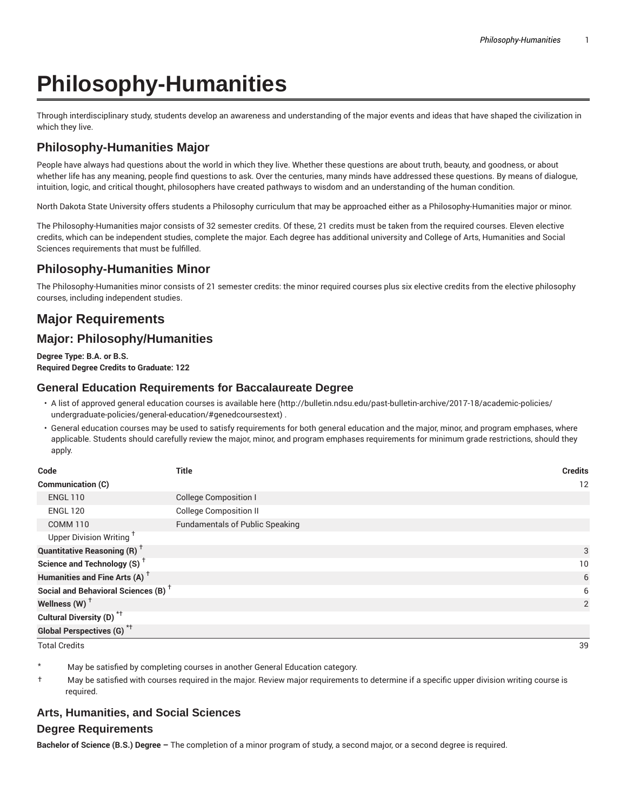# **Philosophy-Humanities**

Through interdisciplinary study, students develop an awareness and understanding of the major events and ideas that have shaped the civilization in which they live.

## **Philosophy-Humanities Major**

People have always had questions about the world in which they live. Whether these questions are about truth, beauty, and goodness, or about whether life has any meaning, people find questions to ask. Over the centuries, many minds have addressed these questions. By means of dialogue, intuition, logic, and critical thought, philosophers have created pathways to wisdom and an understanding of the human condition.

North Dakota State University offers students a Philosophy curriculum that may be approached either as a Philosophy-Humanities major or minor.

The Philosophy-Humanities major consists of 32 semester credits. Of these, 21 credits must be taken from the required courses. Eleven elective credits, which can be independent studies, complete the major. Each degree has additional university and College of Arts, Humanities and Social Sciences requirements that must be fulfilled.

### **Philosophy-Humanities Minor**

The Philosophy-Humanities minor consists of 21 semester credits: the minor required courses plus six elective credits from the elective philosophy courses, including independent studies.

# **Major Requirements**

### **Major: Philosophy/Humanities**

**Degree Type: B.A. or B.S. Required Degree Credits to Graduate: 122**

#### **General Education Requirements for Baccalaureate Degree**

- A list of approved general education courses is available here (http://bulletin.ndsu.edu/past-bulletin-archive/2017-18/academic-policies/ undergraduate-policies/general-education/#genedcoursestext) .
- General education courses may be used to satisfy requirements for both general education and the major, minor, and program emphases, where applicable. Students should carefully review the major, minor, and program emphases requirements for minimum grade restrictions, should they apply.

| Code                                            | <b>Title</b>                           | <b>Credits</b> |
|-------------------------------------------------|----------------------------------------|----------------|
| Communication (C)                               |                                        | 12             |
| <b>ENGL 110</b>                                 | College Composition I                  |                |
| <b>ENGL 120</b>                                 | <b>College Composition II</b>          |                |
| <b>COMM 110</b>                                 | <b>Fundamentals of Public Speaking</b> |                |
| Upper Division Writing <sup>t</sup>             |                                        |                |
| <b>Quantitative Reasoning (R)</b> <sup>†</sup>  |                                        | 3              |
| Science and Technology (S) <sup>+</sup>         |                                        | 10             |
| Humanities and Fine Arts (A) <sup>+</sup>       |                                        | 6              |
| Social and Behavioral Sciences (B) <sup>+</sup> |                                        | 6              |
| Wellness $(W)$ <sup>+</sup>                     |                                        | 2              |
| Cultural Diversity (D) <sup>*†</sup>            |                                        |                |
| <b>Global Perspectives (G)</b> * <sup>+</sup>   |                                        |                |

Total Credits 39

May be satisfied by completing courses in another General Education category.

† May be satisfied with courses required in the major. Review major requirements to determine if a specific upper division writing course is required.

#### **Arts, Humanities, and Social Sciences**

#### **Degree Requirements**

**Bachelor of Science (B.S.) Degree –** The completion of a minor program of study, a second major, or a second degree is required.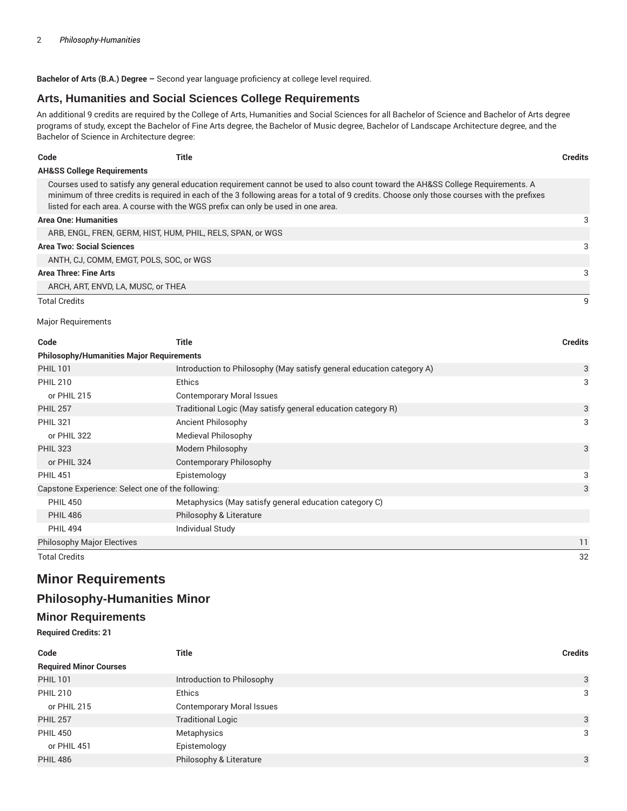**Bachelor of Arts (B.A.) Degree –** Second year language proficiency at college level required.

#### **Arts, Humanities and Social Sciences College Requirements**

An additional 9 credits are required by the College of Arts, Humanities and Social Sciences for all Bachelor of Science and Bachelor of Arts degree programs of study, except the Bachelor of Fine Arts degree, the Bachelor of Music degree, Bachelor of Landscape Architecture degree, and the Bachelor of Science in Architecture degree:

| Code                                  | Title                                                                            |                                                                                                                                                                                                                                                                                | <b>Credits</b> |
|---------------------------------------|----------------------------------------------------------------------------------|--------------------------------------------------------------------------------------------------------------------------------------------------------------------------------------------------------------------------------------------------------------------------------|----------------|
| <b>AH&amp;SS College Requirements</b> |                                                                                  |                                                                                                                                                                                                                                                                                |                |
|                                       | listed for each area. A course with the WGS prefix can only be used in one area. | Courses used to satisfy any general education requirement cannot be used to also count toward the AH&SS College Requirements. A<br>minimum of three credits is required in each of the 3 following areas for a total of 9 credits. Choose only those courses with the prefixes |                |
| <b>Area One: Humanities</b>           |                                                                                  |                                                                                                                                                                                                                                                                                | 3              |
|                                       | ARB, ENGL, FREN, GERM, HIST, HUM, PHIL, RELS, SPAN, or WGS                       |                                                                                                                                                                                                                                                                                |                |
| <b>Area Two: Social Sciences</b>      |                                                                                  |                                                                                                                                                                                                                                                                                | 3              |
|                                       | ANTH, CJ, COMM, EMGT, POLS, SOC, or WGS                                          |                                                                                                                                                                                                                                                                                |                |
| Area Three: Fine Arts                 |                                                                                  |                                                                                                                                                                                                                                                                                | 3              |
|                                       | ARCH, ART, ENVD, LA, MUSC, or THEA                                               |                                                                                                                                                                                                                                                                                |                |
| <b>Total Credits</b>                  |                                                                                  |                                                                                                                                                                                                                                                                                | 9              |

#### Major Requirements

| Code                                              | <b>Title</b>                                                          | <b>Credits</b> |
|---------------------------------------------------|-----------------------------------------------------------------------|----------------|
| <b>Philosophy/Humanities Major Requirements</b>   |                                                                       |                |
| <b>PHIL 101</b>                                   | Introduction to Philosophy (May satisfy general education category A) | 3              |
| <b>PHIL 210</b>                                   | <b>Ethics</b>                                                         | 3              |
| or PHIL 215                                       | <b>Contemporary Moral Issues</b>                                      |                |
| <b>PHIL 257</b>                                   | Traditional Logic (May satisfy general education category R)          | 3              |
| <b>PHIL 321</b>                                   | Ancient Philosophy                                                    | 3              |
| or PHIL 322                                       | Medieval Philosophy                                                   |                |
| <b>PHIL 323</b>                                   | Modern Philosophy                                                     | 3              |
| or PHIL 324                                       | Contemporary Philosophy                                               |                |
| <b>PHIL 451</b>                                   | Epistemology                                                          | 3              |
| Capstone Experience: Select one of the following: |                                                                       | 3              |
| <b>PHIL 450</b>                                   | Metaphysics (May satisfy general education category C)                |                |
| <b>PHIL 486</b>                                   | Philosophy & Literature                                               |                |
| <b>PHIL 494</b>                                   | Individual Study                                                      |                |
| <b>Philosophy Major Electives</b>                 |                                                                       | 11             |
| <b>Total Credits</b>                              |                                                                       | 32             |

# **Minor Requirements**

### **Philosophy-Humanities Minor**

# **Minor Requirements**

**Required Credits: 21**

| Code                          | <b>Title</b>                     | <b>Credits</b> |
|-------------------------------|----------------------------------|----------------|
| <b>Required Minor Courses</b> |                                  |                |
| <b>PHIL 101</b>               | Introduction to Philosophy       | 3              |
| <b>PHIL 210</b>               | <b>Ethics</b>                    | 3              |
| or PHIL 215                   | <b>Contemporary Moral Issues</b> |                |
| <b>PHIL 257</b>               | <b>Traditional Logic</b>         | 3              |
| <b>PHIL 450</b>               | Metaphysics                      | 3              |
| or PHIL 451                   | Epistemology                     |                |
| <b>PHIL 486</b>               | Philosophy & Literature          | 3              |